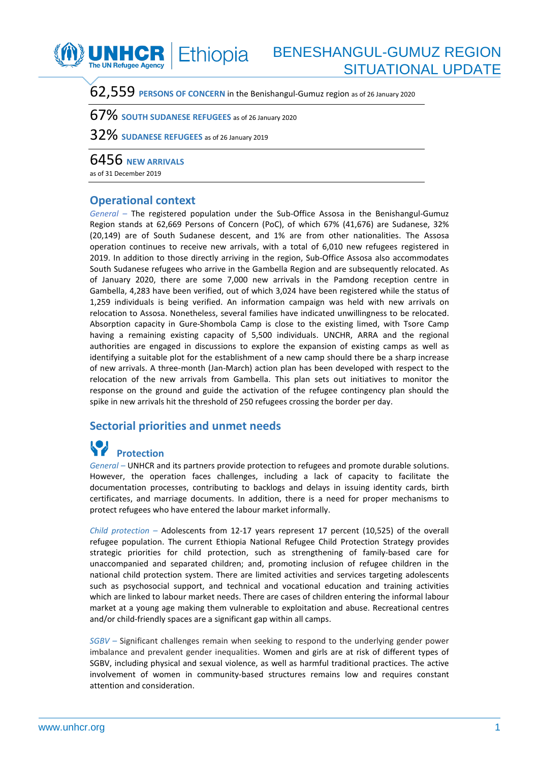

## BENESHANGUL-GUMUZ REGION SITUATIONAL UPDATE

62,559 **PERSONS OF CONCERN** in the Benishangul-Gumuz region as of 26 January <sup>2020</sup>

67% **SOUTH SUDANESE REFUGEES** as of 26 January 2020

32% **SUDANESE REFUGEES** as of 26 January <sup>2019</sup>

6456 **NEW ARRIVALS**

as of 31 December 2019

### **Operational context**

*General –* The registered population under the Sub-Office Assosa in the Benishangul-Gumuz Region stands at 62,669 Persons of Concern (PoC), of which 67% (41,676) are Sudanese, 32% (20,149) are of South Sudanese descent, and 1% are from other nationalities. The Assosa operation continues to receive new arrivals, with a total of 6,010 new refugees registered in 2019. In addition to those directly arriving in the region, Sub-Office Assosa also accommodates South Sudanese refugees who arrive in the Gambella Region and are subsequently relocated. As of January 2020, there are some 7,000 new arrivals in the Pamdong reception centre in Gambella, 4,283 have been verified, out of which 3,024 have been registered while the status of 1,259 individuals is being verified. An information campaign was held with new arrivals on relocation to Assosa. Nonetheless, several families have indicated unwillingness to be relocated. Absorption capacity in Gure-Shombola Camp is close to the existing limed, with Tsore Camp having a remaining existing capacity of 5,500 individuals. UNCHR, ARRA and the regional authorities are engaged in discussions to explore the expansion of existing camps as well as identifying a suitable plot for the establishment of a new camp should there be a sharp increase of new arrivals. A three-month (Jan-March) action plan has been developed with respect to the relocation of the new arrivals from Gambella. This plan sets out initiatives to monitor the response on the ground and guide the activation of the refugee contingency plan should the spike in new arrivals hit the threshold of 250 refugees crossing the border per day.

#### **Sectorial priorities and unmet needs**

# **Protection**

*General –* UNHCR and its partners provide protection to refugees and promote durable solutions. However, the operation faces challenges, including a lack of capacity to facilitate the documentation processes, contributing to backlogs and delays in issuing identity cards, birth certificates, and marriage documents. In addition, there is a need for proper mechanisms to protect refugees who have entered the labour market informally.

*Child protection –* Adolescents from 12-17 years represent 17 percent (10,525) of the overall refugee population. The current Ethiopia National Refugee Child Protection Strategy provides strategic priorities for child protection, such as strengthening of family-based care for unaccompanied and separated children; and, promoting inclusion of refugee children in the national child protection system. There are limited activities and services targeting adolescents such as psychosocial support, and technical and vocational education and training activities which are linked to labour market needs. There are cases of children entering the informal labour market at a young age making them vulnerable to exploitation and abuse. Recreational centres and/or child-friendly spaces are a significant gap within all camps.

*SGBV –* Significant challenges remain when seeking to respond to the underlying gender power imbalance and prevalent gender inequalities. Women and girls are at risk of different types of SGBV, including physical and sexual violence, as well as harmful traditional practices. The active involvement of women in community-based structures remains low and requires constant attention and consideration.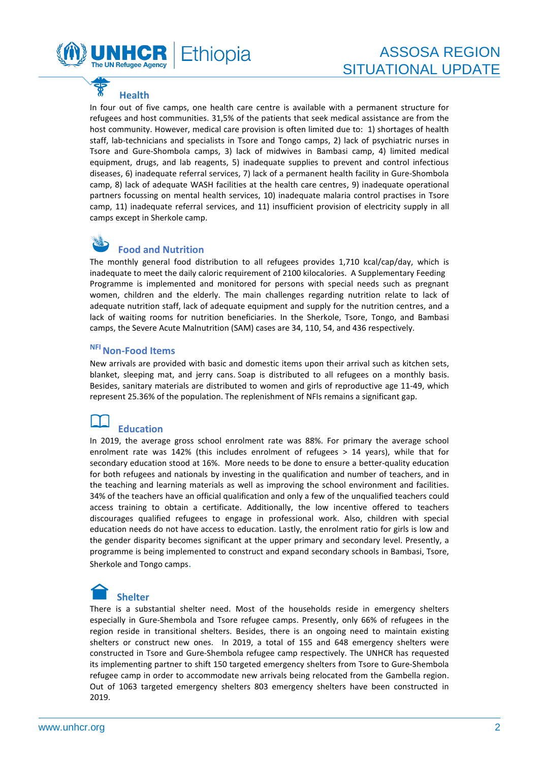

## **Health**

In four out of five camps, one health care centre is available with a permanent structure for refugees and host communities. 31,5% of the patients that seek medical assistance are from the host community. However, medical care provision is often limited due to: 1) shortages of health staff, lab-technicians and specialists in Tsore and Tongo camps, 2) lack of psychiatric nurses in Tsore and Gure-Shombola camps, 3) lack of midwives in Bambasi camp, 4) limited medical equipment, drugs, and lab reagents, 5) inadequate supplies to prevent and control infectious diseases, 6) inadequate referral services, 7) lack of a permanent health facility in Gure-Shombola camp, 8) lack of adequate WASH facilities at the health care centres, 9) inadequate operational partners focussing on mental health services, 10) inadequate malaria control practises in Tsore camp, 11) inadequate referral services, and 11) insufficient provision of electricity supply in all camps except in Sherkole camp.

# **Food and Nutrition**

The monthly general food distribution to all refugees provides 1,710 kcal/cap/day, which is inadequate to meet the daily caloric requirement of 2100 kilocalories. A Supplementary Feeding Programme is implemented and monitored for persons with special needs such as pregnant women, children and the elderly. The main challenges regarding nutrition relate to lack of adequate nutrition staff, lack of adequate equipment and supply for the nutrition centres, and a lack of waiting rooms for nutrition beneficiaries. In the Sherkole, Tsore, Tongo, and Bambasi camps, the Severe Acute Malnutrition (SAM) cases are 34, 110, 54, and 436 respectively.

#### **NFINon-Food Items**

New arrivals are provided with basic and domestic items upon their arrival such as kitchen sets, blanket, sleeping mat, and jerry cans. Soap is distributed to all refugees on a monthly basis. Besides, sanitary materials are distributed to women and girls of reproductive age 11-49, which represent 25.36% of the population. The replenishment of NFIs remains a significant gap.

## **Education**

In 2019, the average gross school enrolment rate was 88%. For primary the average school enrolment rate was 142% (this includes enrolment of refugees > 14 years), while that for secondary education stood at 16%. More needs to be done to ensure a better-quality education for both refugees and nationals by investing in the qualification and number of teachers, and in the teaching and learning materials as well as improving the school environment and facilities. 34% of the teachers have an official qualification and only a few of the unqualified teachers could access training to obtain a certificate. Additionally, the low incentive offered to teachers discourages qualified refugees to engage in professional work. Also, children with special education needs do not have access to education. Lastly, the enrolment ratio for girls is low and the gender disparity becomes significant at the upper primary and secondary level. Presently, a programme is being implemented to construct and expand secondary schools in Bambasi, Tsore, Sherkole and Tongo camps.

# **Shelter**

There is a substantial shelter need. Most of the households reside in emergency shelters especially in Gure-Shembola and Tsore refugee camps. Presently, only 66% of refugees in the region reside in transitional shelters. Besides, there is an ongoing need to maintain existing shelters or construct new ones. In 2019, a total of 155 and 648 emergency shelters were constructed in Tsore and Gure-Shembola refugee camp respectively. The UNHCR has requested its implementing partner to shift 150 targeted emergency shelters from Tsore to Gure-Shembola refugee camp in order to accommodate new arrivals being relocated from the Gambella region. Out of 1063 targeted emergency shelters 803 emergency shelters have been constructed in 2019.